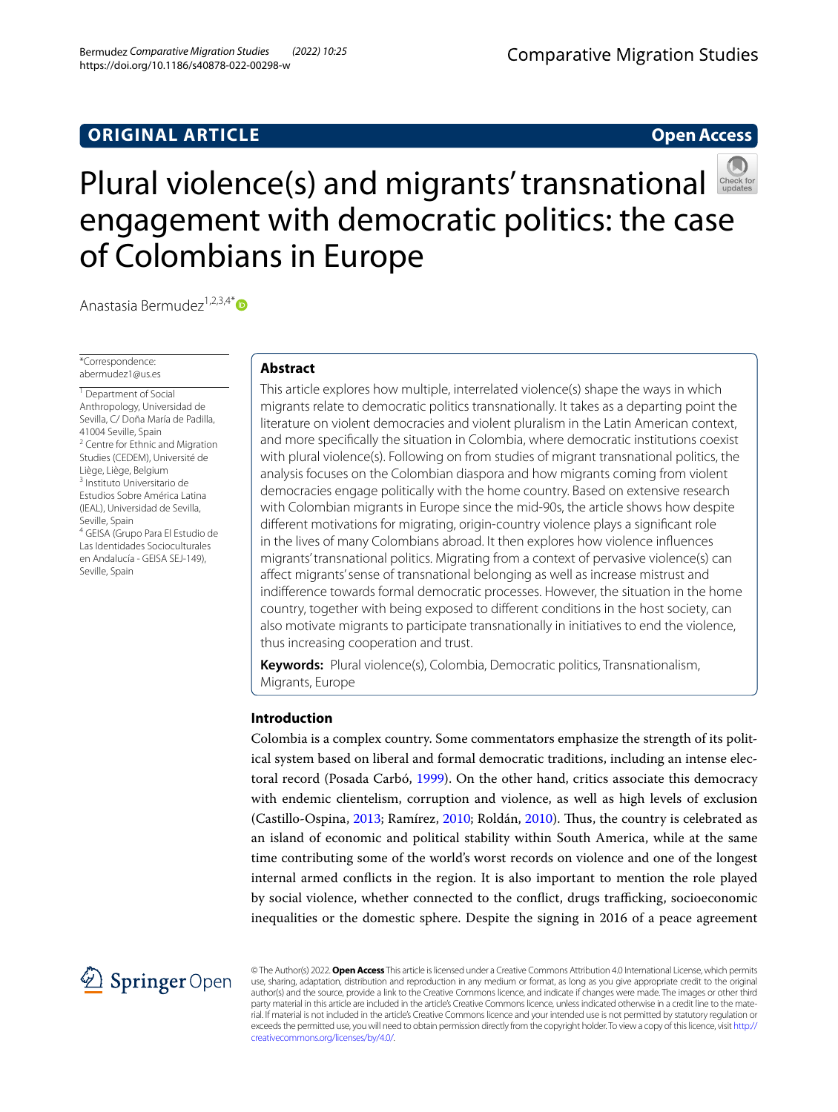# **ORIGINAL ARTICLE**

## **Open Access**



Anastasia Bermudez<sup>1,2,3,4\*</sup>

\*Correspondence: abermudez1@us.es

<sup>1</sup> Department of Social Anthropology, Universidad de Sevilla, C/ Doña María de Padilla, 41004 Seville, Spain <sup>2</sup> Centre for Ethnic and Migration Studies (CEDEM), Université de Liège, Liège, Belgium 3 Instituto Universitario de Estudios Sobre América Latina (IEAL), Universidad de Sevilla, Seville, Spain 4 GEISA (Grupo Para El Estudio de Las Identidades Socioculturales en Andalucía - GEISA SEJ-149), Seville, Spain

## **Abstract**

This article explores how multiple, interrelated violence(s) shape the ways in which migrants relate to democratic politics transnationally. It takes as a departing point the literature on violent democracies and violent pluralism in the Latin American context, and more specifcally the situation in Colombia, where democratic institutions coexist with plural violence(s). Following on from studies of migrant transnational politics, the analysis focuses on the Colombian diaspora and how migrants coming from violent democracies engage politically with the home country. Based on extensive research with Colombian migrants in Europe since the mid-90s, the article shows how despite diferent motivations for migrating, origin-country violence plays a signifcant role in the lives of many Colombians abroad. It then explores how violence infuences migrants' transnational politics. Migrating from a context of pervasive violence(s) can afect migrants' sense of transnational belonging as well as increase mistrust and indiference towards formal democratic processes. However, the situation in the home country, together with being exposed to diferent conditions in the host society, can also motivate migrants to participate transnationally in initiatives to end the violence, thus increasing cooperation and trust.

**Keywords:** Plural violence(s), Colombia, Democratic politics, Transnationalism, Migrants, Europe

## **Introduction**

Colombia is a complex country. Some commentators emphasize the strength of its political system based on liberal and formal democratic traditions, including an intense electoral record (Posada Carbó, [1999\)](#page-16-0). On the other hand, critics associate this democracy with endemic clientelism, corruption and violence, as well as high levels of exclusion (Castillo-Ospina, [2013;](#page-15-0) Ramírez, [2010;](#page-16-1) Roldán, [2010\)](#page-16-2). Tus, the country is celebrated as an island of economic and political stability within South America, while at the same time contributing some of the world's worst records on violence and one of the longest internal armed conficts in the region. It is also important to mention the role played by social violence, whether connected to the conflict, drugs trafficking, socioeconomic inequalities or the domestic sphere. Despite the signing in 2016 of a peace agreement



© The Author(s) 2022. **Open Access** This article is licensed under a Creative Commons Attribution 4.0 International License, which permits use, sharing, adaptation, distribution and reproduction in any medium or format, as long as you give appropriate credit to the original author(s) and the source, provide a link to the Creative Commons licence, and indicate if changes were made. The images or other third party material in this article are included in the article's Creative Commons licence, unless indicated otherwise in a credit line to the material. If material is not included in the article's Creative Commons licence and your intended use is not permitted by statutory regulation or exceeds the permitted use, you will need to obtain permission directly from the copyright holder. To view a copy of this licence, visit [http://](http://creativecommons.org/licenses/by/4.0/) [creativecommons.org/licenses/by/4.0/.](http://creativecommons.org/licenses/by/4.0/)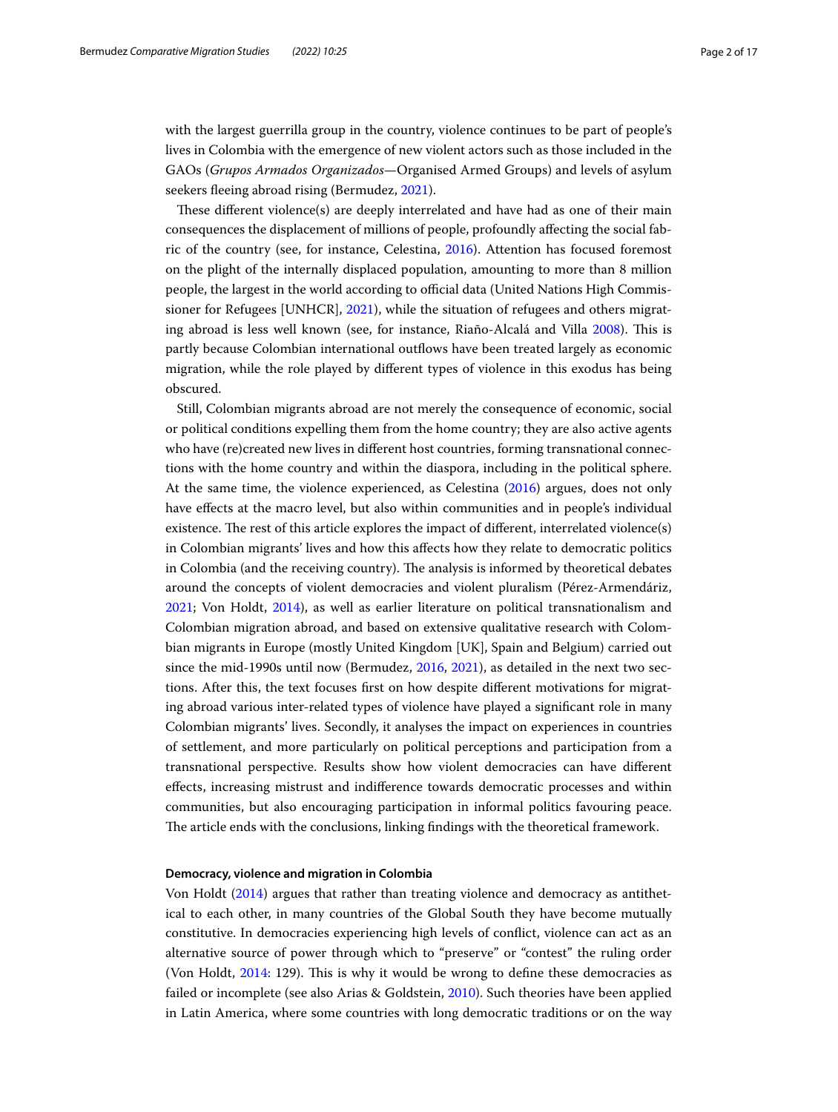with the largest guerrilla group in the country, violence continues to be part of people's lives in Colombia with the emergence of new violent actors such as those included in the GAOs (*Grupos Armados Organizados*—Organised Armed Groups) and levels of asylum seekers fleeing abroad rising (Bermudez, [2021\)](#page-15-1).

These different violence(s) are deeply interrelated and have had as one of their main consequences the displacement of millions of people, profoundly afecting the social fabric of the country (see, for instance, Celestina, [2016](#page-15-2)). Attention has focused foremost on the plight of the internally displaced population, amounting to more than 8 million people, the largest in the world according to official data (United Nations High Commissioner for Refugees [UNHCR], [2021\)](#page-16-3), while the situation of refugees and others migrating abroad is less well known (see, for instance, Riaño-Alcalá and Villa [2008](#page-16-4)). Tis is partly because Colombian international outfows have been treated largely as economic migration, while the role played by diferent types of violence in this exodus has being obscured.

Still, Colombian migrants abroad are not merely the consequence of economic, social or political conditions expelling them from the home country; they are also active agents who have (re)created new lives in diferent host countries, forming transnational connections with the home country and within the diaspora, including in the political sphere. At the same time, the violence experienced, as Celestina [\(2016](#page-15-2)) argues, does not only have efects at the macro level, but also within communities and in people's individual existence. The rest of this article explores the impact of different, interrelated violence(s) in Colombian migrants' lives and how this afects how they relate to democratic politics in Colombia (and the receiving country). The analysis is informed by theoretical debates around the concepts of violent democracies and violent pluralism (Pérez-Armendáriz, [2021](#page-16-5); Von Holdt, [2014](#page-16-6)), as well as earlier literature on political transnationalism and Colombian migration abroad, and based on extensive qualitative research with Colombian migrants in Europe (mostly United Kingdom [UK], Spain and Belgium) carried out since the mid-1990s until now (Bermudez, [2016,](#page-15-3) [2021\)](#page-15-1), as detailed in the next two sections. After this, the text focuses frst on how despite diferent motivations for migrating abroad various inter-related types of violence have played a signifcant role in many Colombian migrants' lives. Secondly, it analyses the impact on experiences in countries of settlement, and more particularly on political perceptions and participation from a transnational perspective. Results show how violent democracies can have diferent efects, increasing mistrust and indiference towards democratic processes and within communities, but also encouraging participation in informal politics favouring peace. The article ends with the conclusions, linking findings with the theoretical framework.

## **Democracy, violence and migration in Colombia**

Von Holdt ([2014](#page-16-6)) argues that rather than treating violence and democracy as antithetical to each other, in many countries of the Global South they have become mutually constitutive. In democracies experiencing high levels of confict, violence can act as an alternative source of power through which to "preserve" or "contest" the ruling order (Von Holdt, [2014](#page-16-6): 129). This is why it would be wrong to define these democracies as failed or incomplete (see also Arias & Goldstein, [2010](#page-15-4)). Such theories have been applied in Latin America, where some countries with long democratic traditions or on the way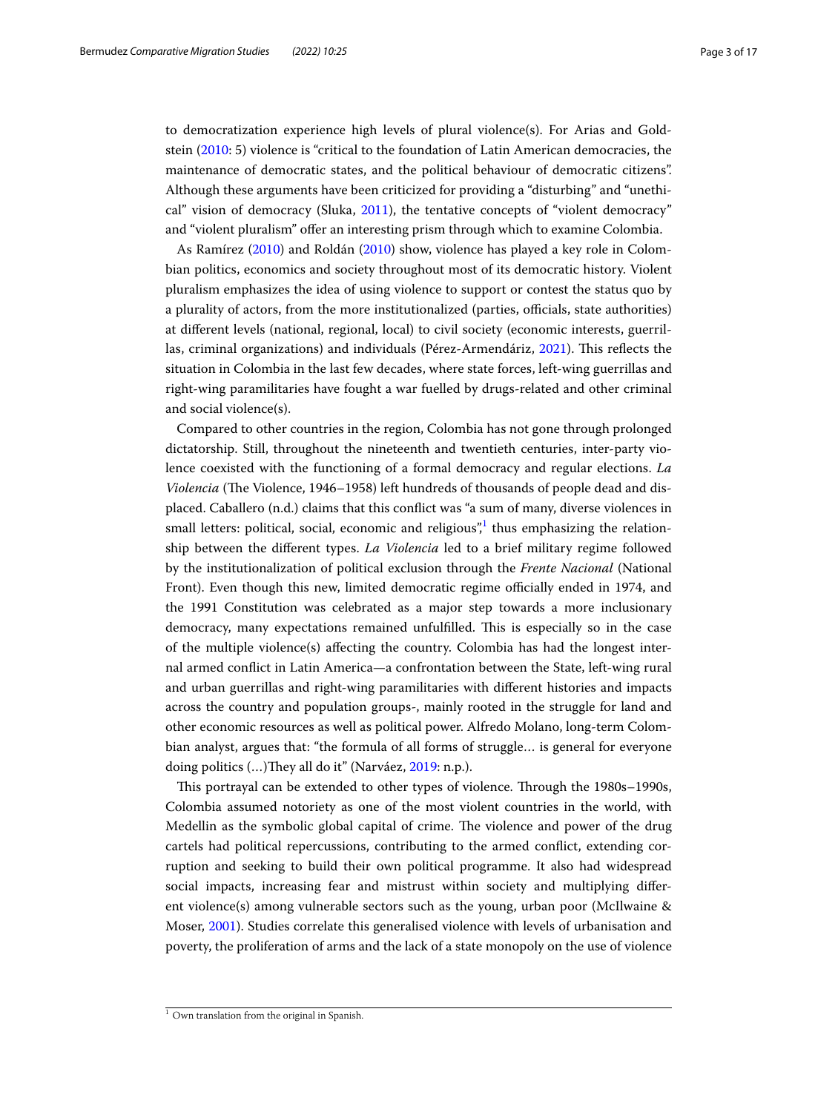to democratization experience high levels of plural violence(s). For Arias and Goldstein ([2010:](#page-15-4) 5) violence is "critical to the foundation of Latin American democracies, the maintenance of democratic states, and the political behaviour of democratic citizens". Although these arguments have been criticized for providing a "disturbing" and "unethical" vision of democracy (Sluka, [2011](#page-16-7)), the tentative concepts of "violent democracy" and "violent pluralism" ofer an interesting prism through which to examine Colombia.

As Ramírez [\(2010](#page-16-1)) and Roldán [\(2010\)](#page-16-2) show, violence has played a key role in Colombian politics, economics and society throughout most of its democratic history. Violent pluralism emphasizes the idea of using violence to support or contest the status quo by a plurality of actors, from the more institutionalized (parties, officials, state authorities) at diferent levels (national, regional, local) to civil society (economic interests, guerril-las, criminal organizations) and individuals (Pérez-Armendáriz, [2021\)](#page-16-5). This reflects the situation in Colombia in the last few decades, where state forces, left-wing guerrillas and right-wing paramilitaries have fought a war fuelled by drugs-related and other criminal and social violence(s).

Compared to other countries in the region, Colombia has not gone through prolonged dictatorship. Still, throughout the nineteenth and twentieth centuries, inter-party violence coexisted with the functioning of a formal democracy and regular elections. *La Violencia* (The Violence, 1946–1958) left hundreds of thousands of people dead and displaced. Caballero (n.d.) claims that this confict was "a sum of many, diverse violences in small letters: political, social, economic and religious", thus emphasizing the relationship between the diferent types. *La Violencia* led to a brief military regime followed by the institutionalization of political exclusion through the *Frente Nacional* (National Front). Even though this new, limited democratic regime officially ended in 1974, and the 1991 Constitution was celebrated as a major step towards a more inclusionary democracy, many expectations remained unfulfilled. This is especially so in the case of the multiple violence(s) afecting the country. Colombia has had the longest internal armed confict in Latin America—a confrontation between the State, left-wing rural and urban guerrillas and right-wing paramilitaries with diferent histories and impacts across the country and population groups-, mainly rooted in the struggle for land and other economic resources as well as political power. Alfredo Molano, long-term Colombian analyst, argues that: "the formula of all forms of struggle… is general for everyone doing politics (...)They all do it" (Narváez, [2019:](#page-16-8) n.p.).

This portrayal can be extended to other types of violence. Through the 1980s–1990s, Colombia assumed notoriety as one of the most violent countries in the world, with Medellin as the symbolic global capital of crime. The violence and power of the drug cartels had political repercussions, contributing to the armed confict, extending corruption and seeking to build their own political programme. It also had widespread social impacts, increasing fear and mistrust within society and multiplying diferent violence(s) among vulnerable sectors such as the young, urban poor (McIlwaine & Moser, [2001\)](#page-16-9). Studies correlate this generalised violence with levels of urbanisation and poverty, the proliferation of arms and the lack of a state monopoly on the use of violence

<span id="page-2-0"></span> $1$  Own translation from the original in Spanish.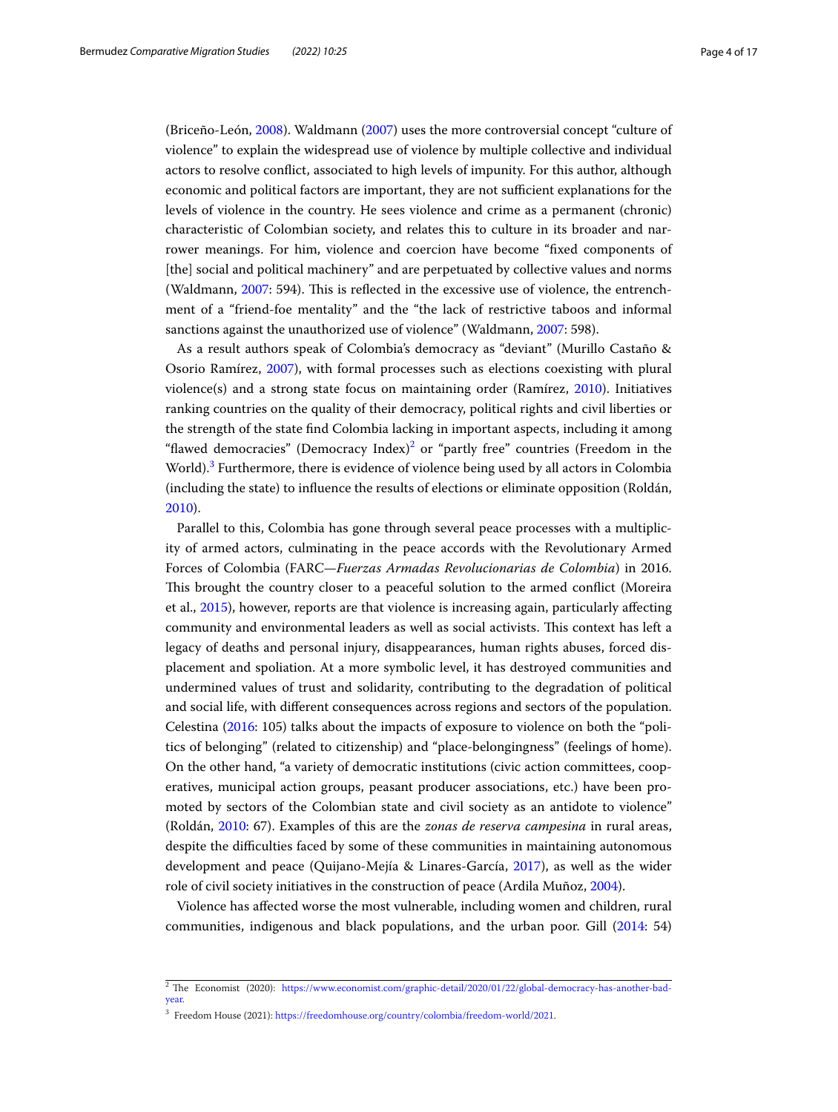(Briceño-León, [2008](#page-15-5)). Waldmann [\(2007\)](#page-16-10) uses the more controversial concept "culture of violence" to explain the widespread use of violence by multiple collective and individual actors to resolve confict, associated to high levels of impunity. For this author, although economic and political factors are important, they are not sufficient explanations for the levels of violence in the country. He sees violence and crime as a permanent (chronic) characteristic of Colombian society, and relates this to culture in its broader and narrower meanings. For him, violence and coercion have become "fxed components of [the] social and political machinery" and are perpetuated by collective values and norms (Waldmann, [2007](#page-16-10): 594). This is reflected in the excessive use of violence, the entrenchment of a "friend-foe mentality" and the "the lack of restrictive taboos and informal sanctions against the unauthorized use of violence" (Waldmann, [2007](#page-16-10): 598).

As a result authors speak of Colombia's democracy as "deviant" (Murillo Castaño & Osorio Ramírez, [2007](#page-16-11)), with formal processes such as elections coexisting with plural violence(s) and a strong state focus on maintaining order (Ramírez, [2010\)](#page-16-1). Initiatives ranking countries on the quality of their democracy, political rights and civil liberties or the strength of the state fnd Colombia lacking in important aspects, including it among "flawed democracies" (Democracy Index) $^2$  or "partly free" countries (Freedom in the World).<sup>[3](#page-3-1)</sup> Furthermore, there is evidence of violence being used by all actors in Colombia (including the state) to infuence the results of elections or eliminate opposition (Roldán, [2010](#page-16-2)).

Parallel to this, Colombia has gone through several peace processes with a multiplicity of armed actors, culminating in the peace accords with the Revolutionary Armed Forces of Colombia (FARC—*Fuerzas Armadas Revolucionarias de Colombia*) in 2016. This brought the country closer to a peaceful solution to the armed conflict (Moreira et al., [2015\)](#page-16-12), however, reports are that violence is increasing again, particularly afecting community and environmental leaders as well as social activists. Tis context has left a legacy of deaths and personal injury, disappearances, human rights abuses, forced displacement and spoliation. At a more symbolic level, it has destroyed communities and undermined values of trust and solidarity, contributing to the degradation of political and social life, with diferent consequences across regions and sectors of the population. Celestina [\(2016](#page-15-2): 105) talks about the impacts of exposure to violence on both the "politics of belonging" (related to citizenship) and "place-belongingness" (feelings of home). On the other hand, "a variety of democratic institutions (civic action committees, cooperatives, municipal action groups, peasant producer associations, etc.) have been promoted by sectors of the Colombian state and civil society as an antidote to violence" (Roldán, [2010:](#page-16-2) 67). Examples of this are the *zonas de reserva campesina* in rural areas, despite the difculties faced by some of these communities in maintaining autonomous development and peace (Quijano-Mejía & Linares-García, [2017\)](#page-16-13), as well as the wider role of civil society initiatives in the construction of peace (Ardila Muñoz, [2004](#page-15-6)).

Violence has afected worse the most vulnerable, including women and children, rural communities, indigenous and black populations, and the urban poor. Gill ([2014](#page-16-14): 54)

<span id="page-3-0"></span> $2$  The Economist (2020): [https://www.economist.com/graphic-detail/2020/01/22/global-democracy-has-another-bad](https://www.economist.com/graphic-detail/2020/01/22/global-democracy-has-another-bad-year)[year.](https://www.economist.com/graphic-detail/2020/01/22/global-democracy-has-another-bad-year)

<span id="page-3-1"></span><sup>3</sup> Freedom House (2021): [https://freedomhouse.org/country/colombia/freedom-world/2021.](https://freedomhouse.org/country/colombia/freedom-world/2021)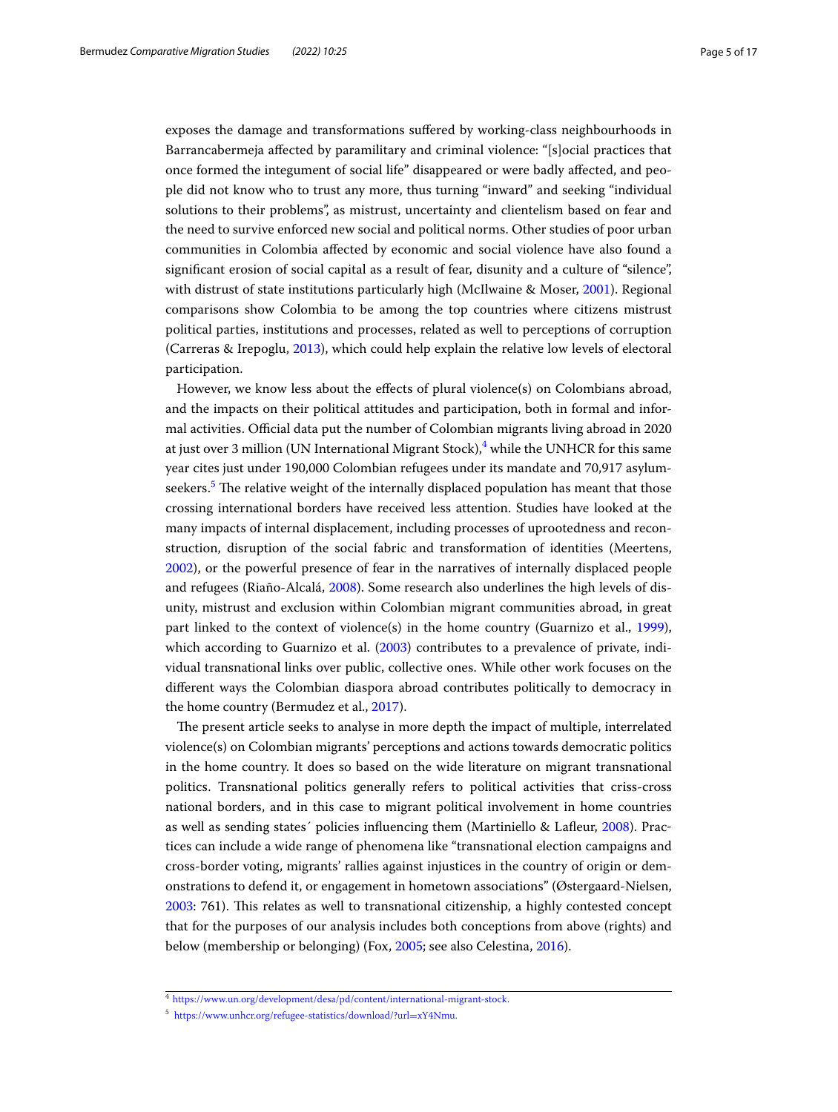exposes the damage and transformations sufered by working-class neighbourhoods in Barrancabermeja afected by paramilitary and criminal violence: "[s]ocial practices that once formed the integument of social life" disappeared or were badly afected, and people did not know who to trust any more, thus turning "inward" and seeking "individual solutions to their problems", as mistrust, uncertainty and clientelism based on fear and the need to survive enforced new social and political norms. Other studies of poor urban communities in Colombia afected by economic and social violence have also found a signifcant erosion of social capital as a result of fear, disunity and a culture of "silence", with distrust of state institutions particularly high (McIlwaine & Moser, [2001\)](#page-16-9). Regional comparisons show Colombia to be among the top countries where citizens mistrust political parties, institutions and processes, related as well to perceptions of corruption (Carreras & Irepoglu, [2013\)](#page-15-7), which could help explain the relative low levels of electoral participation.

However, we know less about the efects of plural violence(s) on Colombians abroad, and the impacts on their political attitudes and participation, both in formal and informal activities. Official data put the number of Colombian migrants living abroad in 2020 at just over 3 million (UN International Migrant Stock), $^4$  $^4$  while the UNHCR for this same year cites just under 190,000 Colombian refugees under its mandate and 70,917 asylum-seekers.<sup>[5](#page-4-1)</sup> The relative weight of the internally displaced population has meant that those crossing international borders have received less attention. Studies have looked at the many impacts of internal displacement, including processes of uprootedness and reconstruction, disruption of the social fabric and transformation of identities (Meertens, [2002](#page-16-15)), or the powerful presence of fear in the narratives of internally displaced people and refugees (Riaño-Alcalá, [2008\)](#page-16-16). Some research also underlines the high levels of disunity, mistrust and exclusion within Colombian migrant communities abroad, in great part linked to the context of violence(s) in the home country (Guarnizo et al., [1999](#page-16-17)), which according to Guarnizo et al. ([2003](#page-16-18)) contributes to a prevalence of private, individual transnational links over public, collective ones. While other work focuses on the diferent ways the Colombian diaspora abroad contributes politically to democracy in the home country (Bermudez et al., [2017\)](#page-15-8).

The present article seeks to analyse in more depth the impact of multiple, interrelated violence(s) on Colombian migrants' perceptions and actions towards democratic politics in the home country. It does so based on the wide literature on migrant transnational politics. Transnational politics generally refers to political activities that criss-cross national borders, and in this case to migrant political involvement in home countries as well as sending states´ policies infuencing them (Martiniello & Lafeur, [2008\)](#page-16-19). Practices can include a wide range of phenomena like "transnational election campaigns and cross-border voting, migrants' rallies against injustices in the country of origin or demonstrations to defend it, or engagement in hometown associations" (Østergaard-Nielsen, [2003](#page-16-20): 761). This relates as well to transnational citizenship, a highly contested concept that for the purposes of our analysis includes both conceptions from above (rights) and below (membership or belonging) (Fox, [2005;](#page-16-21) see also Celestina, [2016\)](#page-15-2).

<span id="page-4-0"></span><sup>4</sup> [https://www.un.org/development/desa/pd/content/international-migrant-stock.](https://www.un.org/development/desa/pd/content/international-migrant-stock)

<span id="page-4-1"></span><sup>5</sup> [https://www.unhcr.org/refugee-statistics/download/?url](https://www.unhcr.org/refugee-statistics/download/?url=xY4Nmu)=xY4Nmu.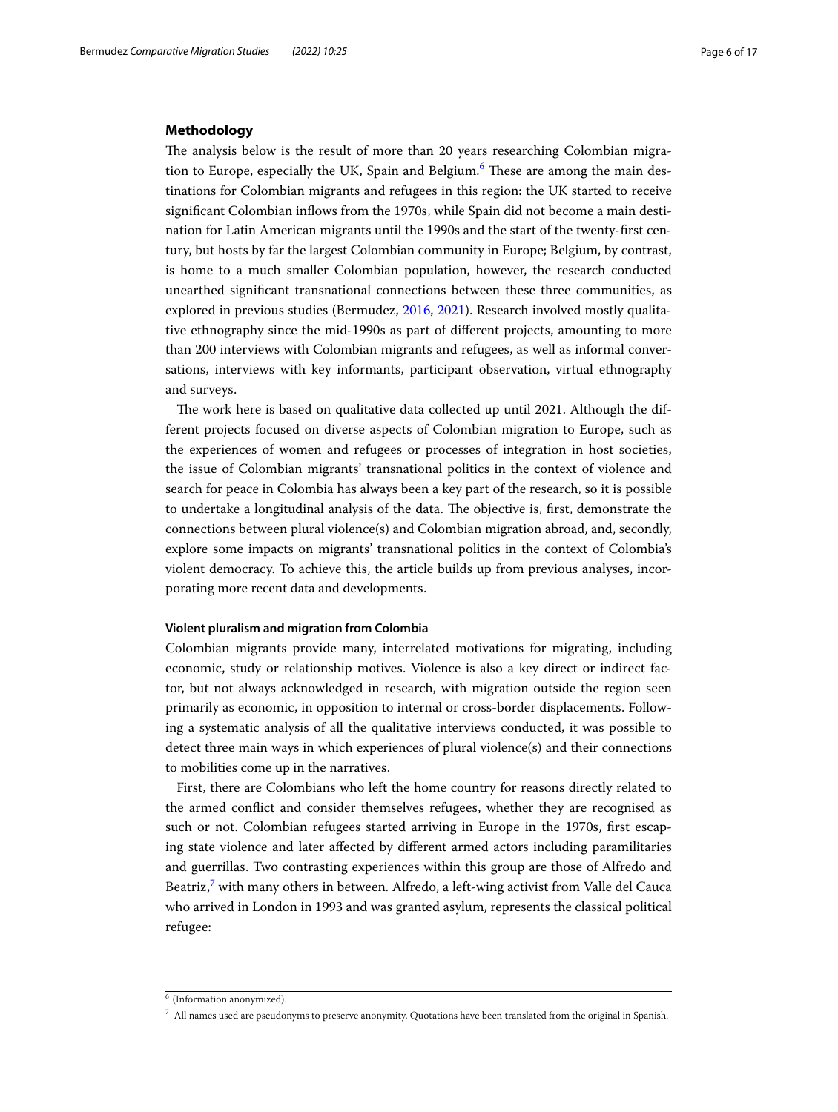## **Methodology**

The analysis below is the result of more than 20 years researching Colombian migra-tion to Europe, especially the UK, Spain and Belgium.<sup>[6](#page-5-0)</sup> These are among the main destinations for Colombian migrants and refugees in this region: the UK started to receive signifcant Colombian infows from the 1970s, while Spain did not become a main destination for Latin American migrants until the 1990s and the start of the twenty-frst century, but hosts by far the largest Colombian community in Europe; Belgium, by contrast, is home to a much smaller Colombian population, however, the research conducted unearthed signifcant transnational connections between these three communities, as explored in previous studies (Bermudez, [2016](#page-15-3), [2021\)](#page-15-1). Research involved mostly qualitative ethnography since the mid-1990s as part of diferent projects, amounting to more than 200 interviews with Colombian migrants and refugees, as well as informal conversations, interviews with key informants, participant observation, virtual ethnography and surveys.

The work here is based on qualitative data collected up until 2021. Although the different projects focused on diverse aspects of Colombian migration to Europe, such as the experiences of women and refugees or processes of integration in host societies, the issue of Colombian migrants' transnational politics in the context of violence and search for peace in Colombia has always been a key part of the research, so it is possible to undertake a longitudinal analysis of the data. The objective is, first, demonstrate the connections between plural violence(s) and Colombian migration abroad, and, secondly, explore some impacts on migrants' transnational politics in the context of Colombia's violent democracy. To achieve this, the article builds up from previous analyses, incorporating more recent data and developments.

## **Violent pluralism and migration from Colombia**

Colombian migrants provide many, interrelated motivations for migrating, including economic, study or relationship motives. Violence is also a key direct or indirect factor, but not always acknowledged in research, with migration outside the region seen primarily as economic, in opposition to internal or cross-border displacements. Following a systematic analysis of all the qualitative interviews conducted, it was possible to detect three main ways in which experiences of plural violence(s) and their connections to mobilities come up in the narratives.

First, there are Colombians who left the home country for reasons directly related to the armed confict and consider themselves refugees, whether they are recognised as such or not. Colombian refugees started arriving in Europe in the 1970s, frst escaping state violence and later afected by diferent armed actors including paramilitaries and guerrillas. Two contrasting experiences within this group are those of Alfredo and Beatriz,<sup>[7](#page-5-1)</sup> with many others in between. Alfredo, a left-wing activist from Valle del Cauca who arrived in London in 1993 and was granted asylum, represents the classical political refugee:

<span id="page-5-0"></span> $6$  (Information anonymized).

<span id="page-5-1"></span> $^7$  All names used are pseudonyms to preserve anonymity. Quotations have been translated from the original in Spanish.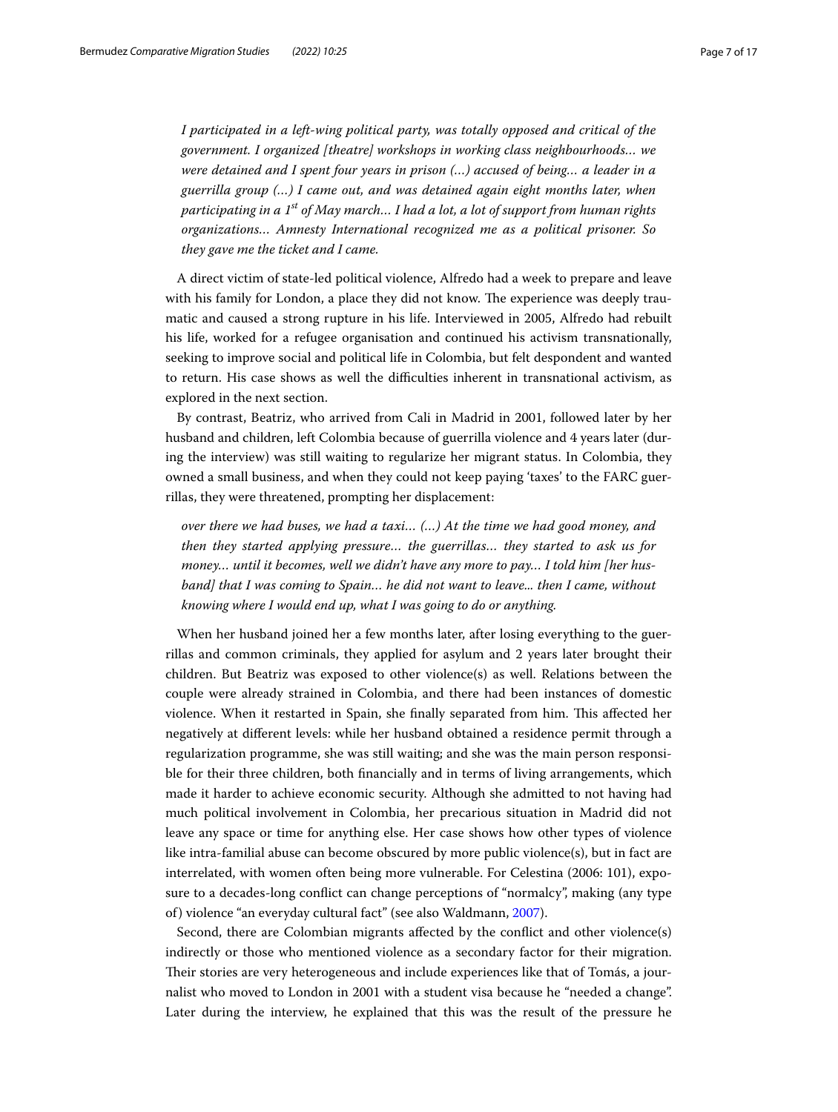*I participated in a left-wing political party, was totally opposed and critical of the government. I organized [theatre] workshops in working class neighbourhoods… we were detained and I spent four years in prison (…) accused of being… a leader in a guerrilla group (…) I came out, and was detained again eight months later, when participating in a 1st of May march… I had a lot, a lot of support from human rights organizations… Amnesty International recognized me as a political prisoner. So they gave me the ticket and I came.*

A direct victim of state-led political violence, Alfredo had a week to prepare and leave with his family for London, a place they did not know. The experience was deeply traumatic and caused a strong rupture in his life. Interviewed in 2005, Alfredo had rebuilt his life, worked for a refugee organisation and continued his activism transnationally, seeking to improve social and political life in Colombia, but felt despondent and wanted to return. His case shows as well the difculties inherent in transnational activism, as explored in the next section.

By contrast, Beatriz, who arrived from Cali in Madrid in 2001, followed later by her husband and children, left Colombia because of guerrilla violence and 4 years later (during the interview) was still waiting to regularize her migrant status. In Colombia, they owned a small business, and when they could not keep paying 'taxes' to the FARC guerrillas, they were threatened, prompting her displacement:

*over there we had buses, we had a taxi… (…) At the time we had good money, and then they started applying pressure… the guerrillas… they started to ask us for money… until it becomes, well we didn't have any more to pay… I told him [her hus*band] that I was coming to Spain... he did not want to leave... then I came, without *knowing where I would end up, what I was going to do or anything.*

When her husband joined her a few months later, after losing everything to the guerrillas and common criminals, they applied for asylum and 2 years later brought their children. But Beatriz was exposed to other violence(s) as well. Relations between the couple were already strained in Colombia, and there had been instances of domestic violence. When it restarted in Spain, she finally separated from him. This affected her negatively at diferent levels: while her husband obtained a residence permit through a regularization programme, she was still waiting; and she was the main person responsible for their three children, both fnancially and in terms of living arrangements, which made it harder to achieve economic security. Although she admitted to not having had much political involvement in Colombia, her precarious situation in Madrid did not leave any space or time for anything else. Her case shows how other types of violence like intra-familial abuse can become obscured by more public violence(s), but in fact are interrelated, with women often being more vulnerable. For Celestina (2006: 101), exposure to a decades-long confict can change perceptions of "normalcy", making (any type of) violence "an everyday cultural fact" (see also Waldmann, [2007\)](#page-16-10).

Second, there are Colombian migrants afected by the confict and other violence(s) indirectly or those who mentioned violence as a secondary factor for their migration. Their stories are very heterogeneous and include experiences like that of Tomás, a journalist who moved to London in 2001 with a student visa because he "needed a change". Later during the interview, he explained that this was the result of the pressure he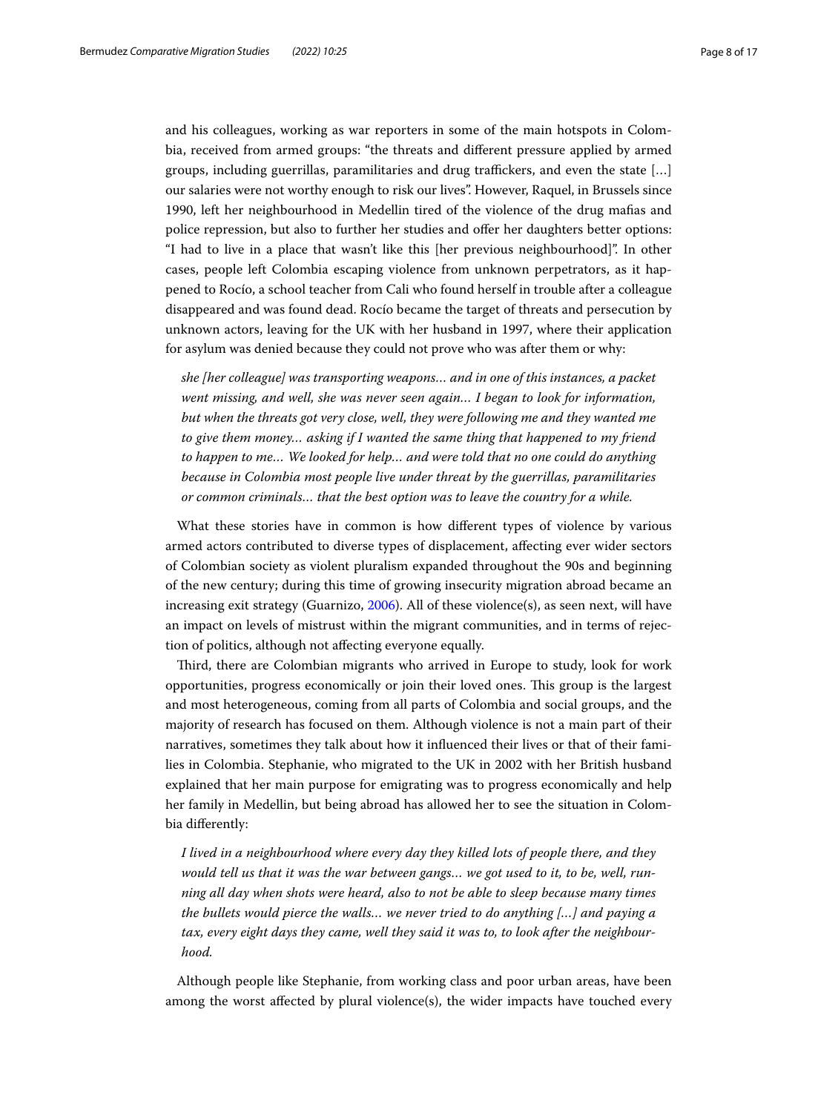and his colleagues, working as war reporters in some of the main hotspots in Colombia, received from armed groups: "the threats and diferent pressure applied by armed groups, including guerrillas, paramilitaries and drug traffickers, and even the state  $[\dots]$ our salaries were not worthy enough to risk our lives". However, Raquel, in Brussels since 1990, left her neighbourhood in Medellin tired of the violence of the drug mafas and police repression, but also to further her studies and ofer her daughters better options: "I had to live in a place that wasn't like this [her previous neighbourhood]". In other cases, people left Colombia escaping violence from unknown perpetrators, as it happened to Rocío, a school teacher from Cali who found herself in trouble after a colleague disappeared and was found dead. Rocío became the target of threats and persecution by unknown actors, leaving for the UK with her husband in 1997, where their application for asylum was denied because they could not prove who was after them or why:

*she [her colleague] was transporting weapons… and in one of this instances, a packet went missing, and well, she was never seen again… I began to look for information, but when the threats got very close, well, they were following me and they wanted me to give them money… asking if I wanted the same thing that happened to my friend to happen to me… We looked for help… and were told that no one could do anything because in Colombia most people live under threat by the guerrillas, paramilitaries or common criminals… that the best option was to leave the country for a while.*

What these stories have in common is how diferent types of violence by various armed actors contributed to diverse types of displacement, afecting ever wider sectors of Colombian society as violent pluralism expanded throughout the 90s and beginning of the new century; during this time of growing insecurity migration abroad became an increasing exit strategy (Guarnizo, [2006\)](#page-16-22). All of these violence(s), as seen next, will have an impact on levels of mistrust within the migrant communities, and in terms of rejection of politics, although not afecting everyone equally.

Tird, there are Colombian migrants who arrived in Europe to study, look for work opportunities, progress economically or join their loved ones. Tis group is the largest and most heterogeneous, coming from all parts of Colombia and social groups, and the majority of research has focused on them. Although violence is not a main part of their narratives, sometimes they talk about how it infuenced their lives or that of their families in Colombia. Stephanie, who migrated to the UK in 2002 with her British husband explained that her main purpose for emigrating was to progress economically and help her family in Medellin, but being abroad has allowed her to see the situation in Colombia diferently:

*I lived in a neighbourhood where every day they killed lots of people there, and they would tell us that it was the war between gangs… we got used to it, to be, well, running all day when shots were heard, also to not be able to sleep because many times the bullets would pierce the walls… we never tried to do anything […] and paying a tax, every eight days they came, well they said it was to, to look after the neighbourhood.*

Although people like Stephanie, from working class and poor urban areas, have been among the worst afected by plural violence(s), the wider impacts have touched every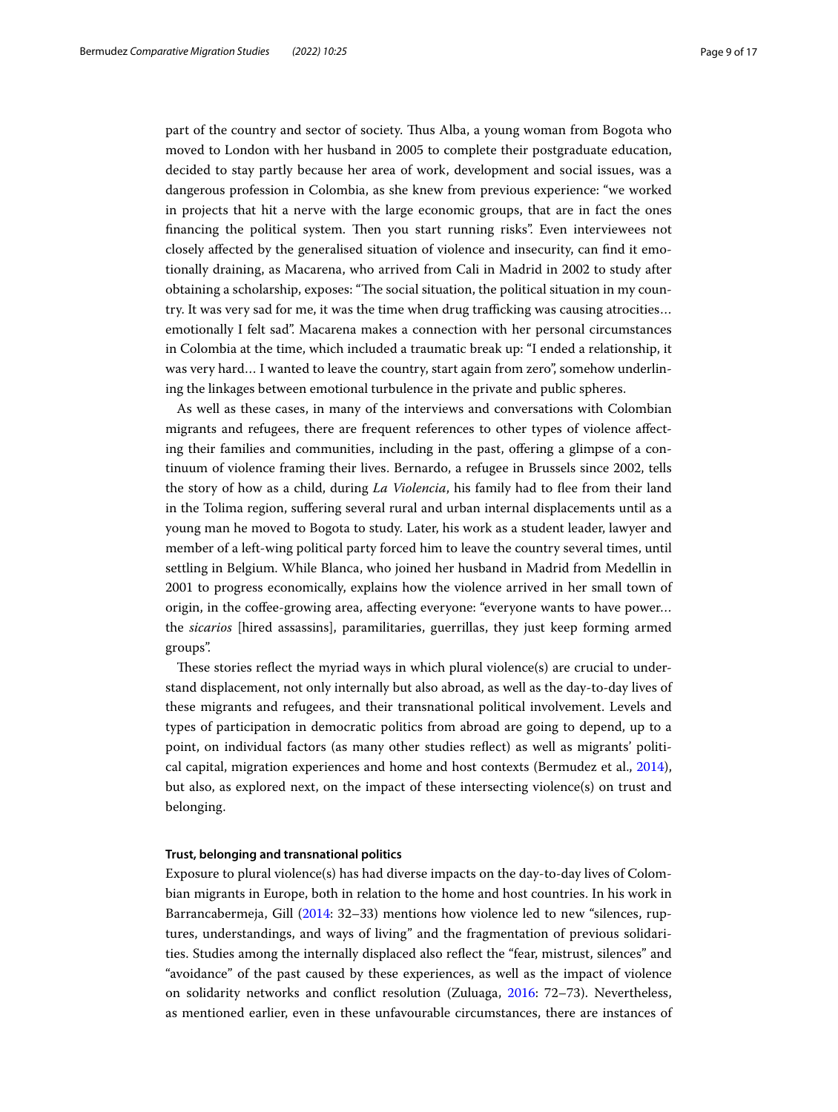part of the country and sector of society. Tus Alba, a young woman from Bogota who moved to London with her husband in 2005 to complete their postgraduate education, decided to stay partly because her area of work, development and social issues, was a dangerous profession in Colombia, as she knew from previous experience: "we worked in projects that hit a nerve with the large economic groups, that are in fact the ones financing the political system. Then you start running risks". Even interviewees not closely afected by the generalised situation of violence and insecurity, can fnd it emotionally draining, as Macarena, who arrived from Cali in Madrid in 2002 to study after obtaining a scholarship, exposes: "The social situation, the political situation in my country. It was very sad for me, it was the time when drug trafficking was causing atrocities... emotionally I felt sad". Macarena makes a connection with her personal circumstances in Colombia at the time, which included a traumatic break up: "I ended a relationship, it was very hard… I wanted to leave the country, start again from zero", somehow underlining the linkages between emotional turbulence in the private and public spheres.

As well as these cases, in many of the interviews and conversations with Colombian migrants and refugees, there are frequent references to other types of violence afecting their families and communities, including in the past, ofering a glimpse of a continuum of violence framing their lives. Bernardo, a refugee in Brussels since 2002, tells the story of how as a child, during *La Violencia*, his family had to fee from their land in the Tolima region, sufering several rural and urban internal displacements until as a young man he moved to Bogota to study. Later, his work as a student leader, lawyer and member of a left-wing political party forced him to leave the country several times, until settling in Belgium. While Blanca, who joined her husband in Madrid from Medellin in 2001 to progress economically, explains how the violence arrived in her small town of origin, in the cofee-growing area, afecting everyone: "everyone wants to have power… the *sicarios* [hired assassins], paramilitaries, guerrillas, they just keep forming armed groups".

These stories reflect the myriad ways in which plural violence(s) are crucial to understand displacement, not only internally but also abroad, as well as the day-to-day lives of these migrants and refugees, and their transnational political involvement. Levels and types of participation in democratic politics from abroad are going to depend, up to a point, on individual factors (as many other studies refect) as well as migrants' political capital, migration experiences and home and host contexts (Bermudez et al., [2014](#page-15-9)), but also, as explored next, on the impact of these intersecting violence(s) on trust and belonging.

## **Trust, belonging and transnational politics**

Exposure to plural violence(s) has had diverse impacts on the day-to-day lives of Colombian migrants in Europe, both in relation to the home and host countries. In his work in Barrancabermeja, Gill ([2014:](#page-16-14) 32–33) mentions how violence led to new "silences, ruptures, understandings, and ways of living" and the fragmentation of previous solidarities. Studies among the internally displaced also refect the "fear, mistrust, silences" and "avoidance" of the past caused by these experiences, as well as the impact of violence on solidarity networks and confict resolution (Zuluaga, [2016:](#page-16-23) 72–73). Nevertheless, as mentioned earlier, even in these unfavourable circumstances, there are instances of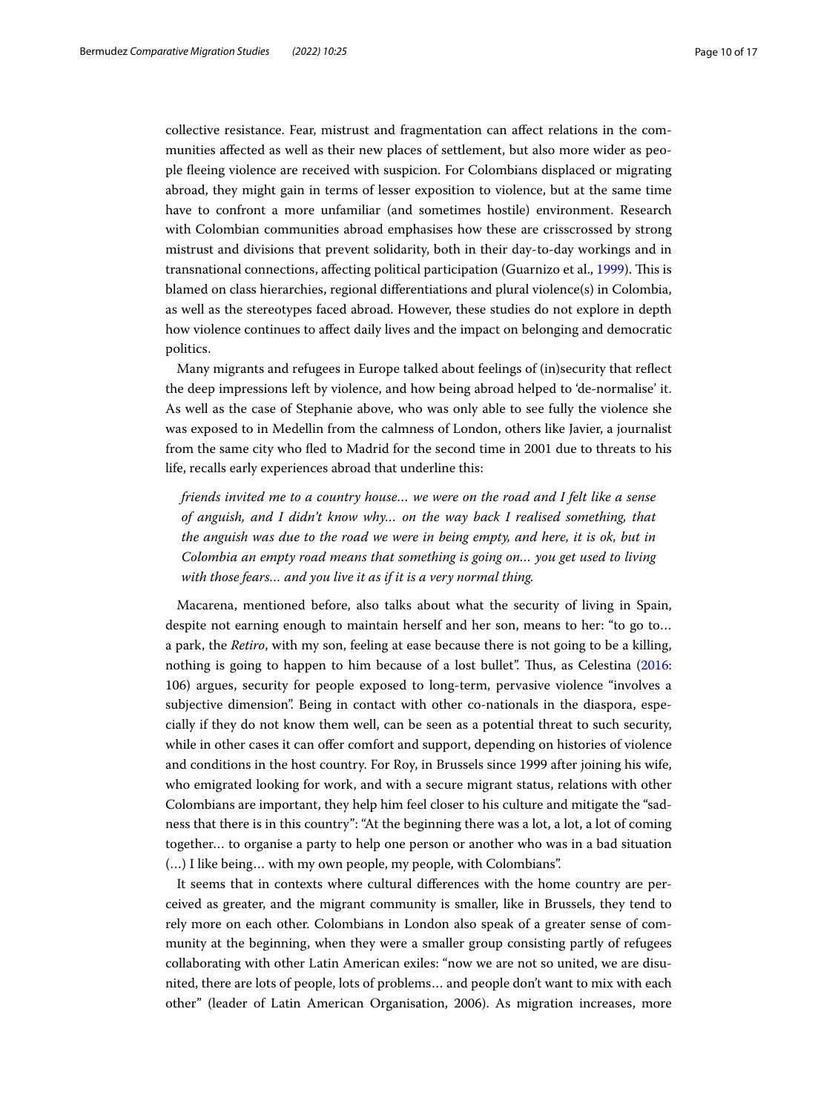collective resistance. Fear, mistrust and fragmentation can afect relations in the communities afected as well as their new places of settlement, but also more wider as people feeing violence are received with suspicion. For Colombians displaced or migrating abroad, they might gain in terms of lesser exposition to violence, but at the same time have to confront a more unfamiliar (and sometimes hostile) environment. Research with Colombian communities abroad emphasises how these are crisscrossed by strong mistrust and divisions that prevent solidarity, both in their day-to-day workings and in transnational connections, afecting political participation (Guarnizo et al., [1999\)](#page-16-17). Tis is blamed on class hierarchies, regional diferentiations and plural violence(s) in Colombia, as well as the stereotypes faced abroad. However, these studies do not explore in depth how violence continues to afect daily lives and the impact on belonging and democratic politics.

Many migrants and refugees in Europe talked about feelings of (in)security that refect the deep impressions left by violence, and how being abroad helped to 'de-normalise' it. As well as the case of Stephanie above, who was only able to see fully the violence she was exposed to in Medellin from the calmness of London, others like Javier, a journalist from the same city who fed to Madrid for the second time in 2001 due to threats to his life, recalls early experiences abroad that underline this:

*friends invited me to a country house… we were on the road and I felt like a sense of anguish, and I didn't know why… on the way back I realised something, that the anguish was due to the road we were in being empty, and here, it is ok, but in Colombia an empty road means that something is going on… you get used to living with those fears… and you live it as if it is a very normal thing.*

Macarena, mentioned before, also talks about what the security of living in Spain, despite not earning enough to maintain herself and her son, means to her: "to go to… a park, the *Retiro*, with my son, feeling at ease because there is not going to be a killing, nothing is going to happen to him because of a lost bullet". Tus, as Celestina ([2016](#page-15-2): 106) argues, security for people exposed to long-term, pervasive violence "involves a subjective dimension". Being in contact with other co-nationals in the diaspora, especially if they do not know them well, can be seen as a potential threat to such security, while in other cases it can offer comfort and support, depending on histories of violence and conditions in the host country. For Roy, in Brussels since 1999 after joining his wife, who emigrated looking for work, and with a secure migrant status, relations with other Colombians are important, they help him feel closer to his culture and mitigate the "sadness that there is in this country": "At the beginning there was a lot, a lot, a lot of coming together… to organise a party to help one person or another who was in a bad situation (…) I like being… with my own people, my people, with Colombians".

It seems that in contexts where cultural diferences with the home country are perceived as greater, and the migrant community is smaller, like in Brussels, they tend to rely more on each other. Colombians in London also speak of a greater sense of community at the beginning, when they were a smaller group consisting partly of refugees collaborating with other Latin American exiles: "now we are not so united, we are disunited, there are lots of people, lots of problems… and people don't want to mix with each other" (leader of Latin American Organisation, 2006). As migration increases, more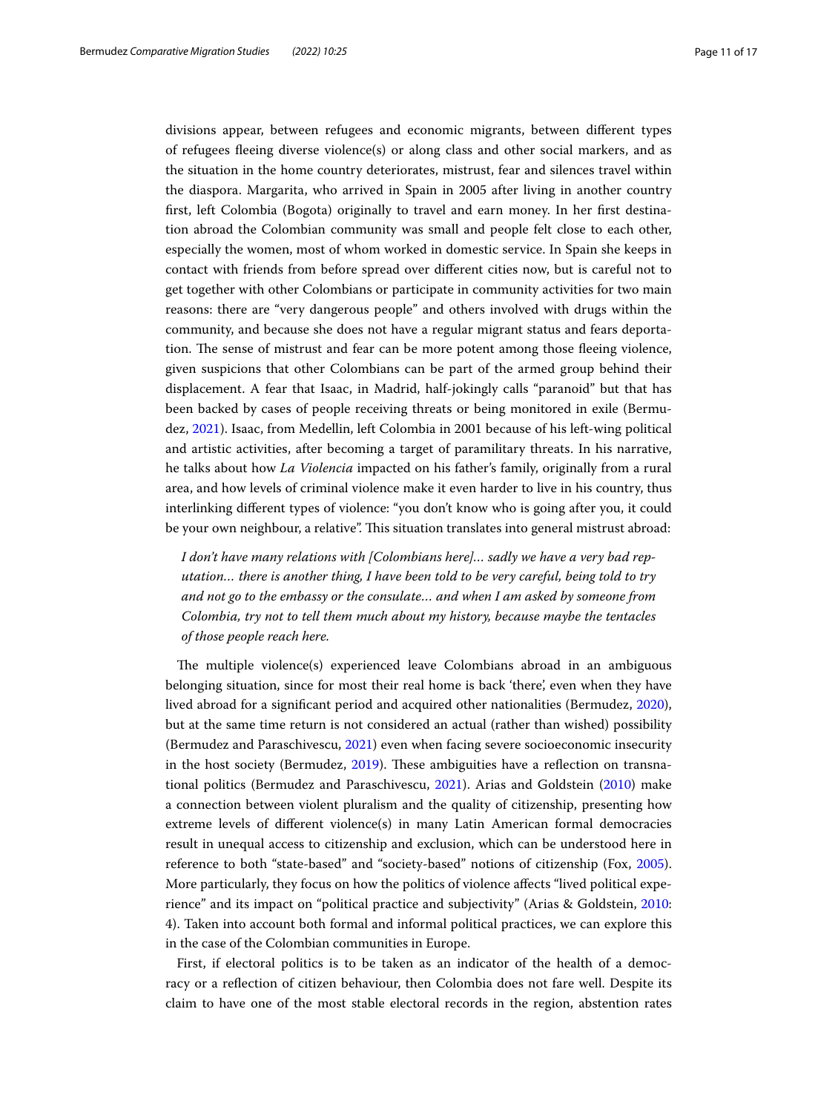divisions appear, between refugees and economic migrants, between diferent types of refugees feeing diverse violence(s) or along class and other social markers, and as the situation in the home country deteriorates, mistrust, fear and silences travel within the diaspora. Margarita, who arrived in Spain in 2005 after living in another country frst, left Colombia (Bogota) originally to travel and earn money. In her frst destination abroad the Colombian community was small and people felt close to each other, especially the women, most of whom worked in domestic service. In Spain she keeps in contact with friends from before spread over diferent cities now, but is careful not to get together with other Colombians or participate in community activities for two main reasons: there are "very dangerous people" and others involved with drugs within the community, and because she does not have a regular migrant status and fears deportation. The sense of mistrust and fear can be more potent among those fleeing violence, given suspicions that other Colombians can be part of the armed group behind their displacement. A fear that Isaac, in Madrid, half-jokingly calls "paranoid" but that has been backed by cases of people receiving threats or being monitored in exile (Bermudez, [2021](#page-15-1)). Isaac, from Medellin, left Colombia in 2001 because of his left-wing political and artistic activities, after becoming a target of paramilitary threats. In his narrative, he talks about how *La Violencia* impacted on his father's family, originally from a rural area, and how levels of criminal violence make it even harder to live in his country, thus interlinking diferent types of violence: "you don't know who is going after you, it could be your own neighbour, a relative". This situation translates into general mistrust abroad:

*I don't have many relations with [Colombians here]… sadly we have a very bad reputation… there is another thing, I have been told to be very careful, being told to try and not go to the embassy or the consulate… and when I am asked by someone from Colombia, try not to tell them much about my history, because maybe the tentacles of those people reach here.*

The multiple violence(s) experienced leave Colombians abroad in an ambiguous belonging situation, since for most their real home is back 'there', even when they have lived abroad for a signifcant period and acquired other nationalities (Bermudez, [2020](#page-15-10)), but at the same time return is not considered an actual (rather than wished) possibility (Bermudez and Paraschivescu, [2021](#page-15-11)) even when facing severe socioeconomic insecurity in the host society (Bermudez,  $2019$ ). These ambiguities have a reflection on transnational politics (Bermudez and Paraschivescu, [2021\)](#page-15-11). Arias and Goldstein [\(2010\)](#page-15-4) make a connection between violent pluralism and the quality of citizenship, presenting how extreme levels of diferent violence(s) in many Latin American formal democracies result in unequal access to citizenship and exclusion, which can be understood here in reference to both "state-based" and "society-based" notions of citizenship (Fox, [2005](#page-16-21)). More particularly, they focus on how the politics of violence afects "lived political experience" and its impact on "political practice and subjectivity" (Arias & Goldstein, [2010](#page-15-4): 4). Taken into account both formal and informal political practices, we can explore this in the case of the Colombian communities in Europe.

First, if electoral politics is to be taken as an indicator of the health of a democracy or a refection of citizen behaviour, then Colombia does not fare well. Despite its claim to have one of the most stable electoral records in the region, abstention rates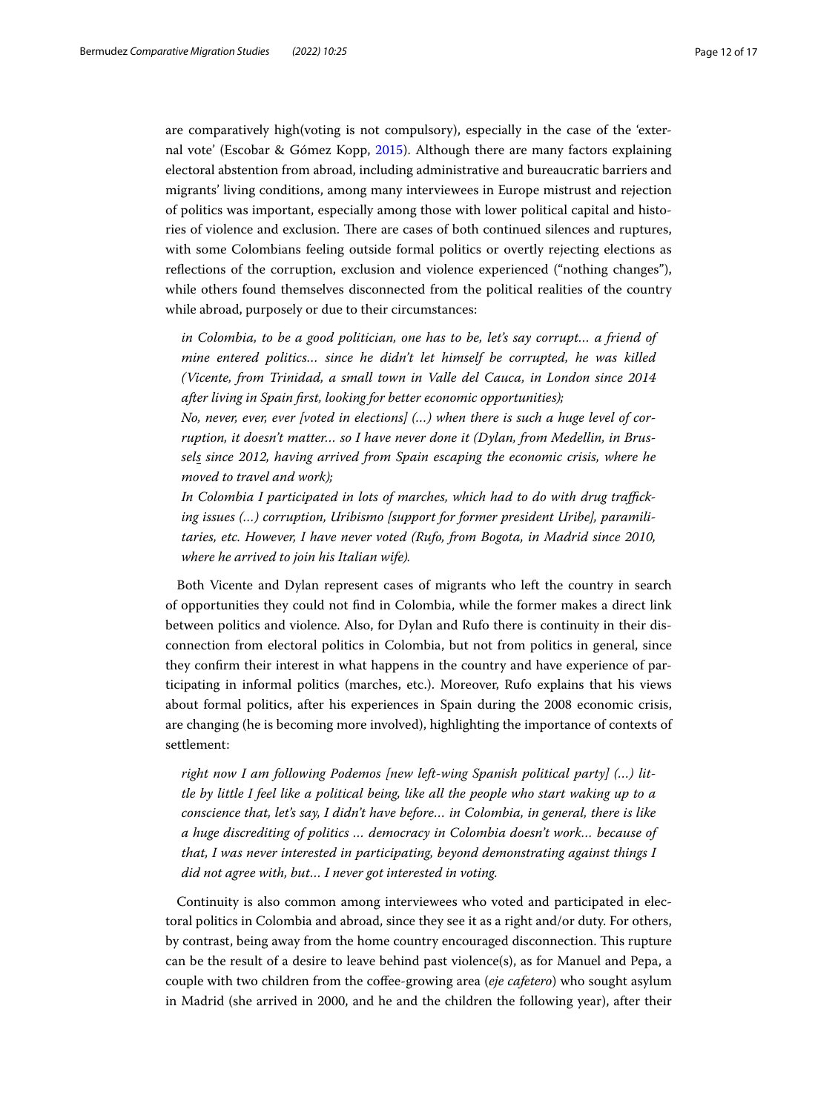are comparatively high(voting is not compulsory), especially in the case of the 'external vote' (Escobar & Gómez Kopp, [2015\)](#page-16-24). Although there are many factors explaining electoral abstention from abroad, including administrative and bureaucratic barriers and migrants' living conditions, among many interviewees in Europe mistrust and rejection of politics was important, especially among those with lower political capital and histories of violence and exclusion. There are cases of both continued silences and ruptures, with some Colombians feeling outside formal politics or overtly rejecting elections as refections of the corruption, exclusion and violence experienced ("nothing changes"), while others found themselves disconnected from the political realities of the country while abroad, purposely or due to their circumstances:

*in Colombia, to be a good politician, one has to be, let's say corrupt… a friend of mine entered politics… since he didn't let himself be corrupted, he was killed (Vicente, from Trinidad, a small town in Valle del Cauca, in London since 2014 after living in Spain frst, looking for better economic opportunities);*

*No, never, ever, ever [voted in elections] (…) when there is such a huge level of corruption, it doesn't matter… so I have never done it (Dylan, from Medellin, in Brussels since 2012, having arrived from Spain escaping the economic crisis, where he moved to travel and work);*

In Colombia I participated in lots of marches, which had to do with drug traffick*ing issues (…) corruption, Uribismo [support for former president Uribe], paramilitaries, etc. However, I have never voted (Rufo, from Bogota, in Madrid since 2010, where he arrived to join his Italian wife).*

Both Vicente and Dylan represent cases of migrants who left the country in search of opportunities they could not fnd in Colombia, while the former makes a direct link between politics and violence. Also, for Dylan and Rufo there is continuity in their disconnection from electoral politics in Colombia, but not from politics in general, since they confrm their interest in what happens in the country and have experience of participating in informal politics (marches, etc.). Moreover, Rufo explains that his views about formal politics, after his experiences in Spain during the 2008 economic crisis, are changing (he is becoming more involved), highlighting the importance of contexts of settlement:

*right now I am following Podemos [new left-wing Spanish political party] (…) little by little I feel like a political being, like all the people who start waking up to a conscience that, let's say, I didn't have before… in Colombia, in general, there is like a huge discrediting of politics … democracy in Colombia doesn't work… because of that, I was never interested in participating, beyond demonstrating against things I did not agree with, but… I never got interested in voting.*

Continuity is also common among interviewees who voted and participated in electoral politics in Colombia and abroad, since they see it as a right and/or duty. For others, by contrast, being away from the home country encouraged disconnection. This rupture can be the result of a desire to leave behind past violence(s), as for Manuel and Pepa, a couple with two children from the cofee-growing area (*eje cafetero*) who sought asylum in Madrid (she arrived in 2000, and he and the children the following year), after their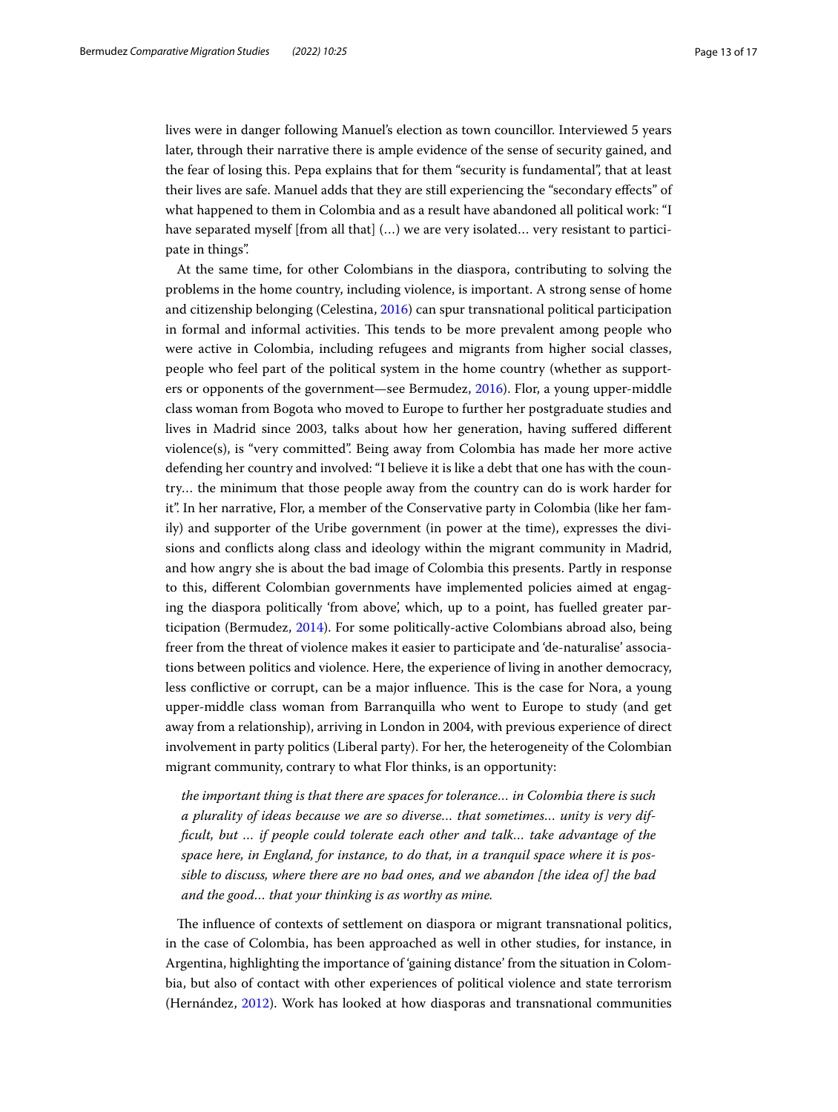lives were in danger following Manuel's election as town councillor. Interviewed 5 years later, through their narrative there is ample evidence of the sense of security gained, and the fear of losing this. Pepa explains that for them "security is fundamental", that at least their lives are safe. Manuel adds that they are still experiencing the "secondary efects" of what happened to them in Colombia and as a result have abandoned all political work: "I have separated myself [from all that]  $(...)$  we are very isolated... very resistant to participate in things".

At the same time, for other Colombians in the diaspora, contributing to solving the problems in the home country, including violence, is important. A strong sense of home and citizenship belonging (Celestina, [2016](#page-15-2)) can spur transnational political participation in formal and informal activities. Tis tends to be more prevalent among people who were active in Colombia, including refugees and migrants from higher social classes, people who feel part of the political system in the home country (whether as supporters or opponents of the government—see Bermudez, [2016\)](#page-15-3). Flor, a young upper-middle class woman from Bogota who moved to Europe to further her postgraduate studies and lives in Madrid since 2003, talks about how her generation, having sufered diferent violence(s), is "very committed". Being away from Colombia has made her more active defending her country and involved: "I believe it is like a debt that one has with the country… the minimum that those people away from the country can do is work harder for it". In her narrative, Flor, a member of the Conservative party in Colombia (like her family) and supporter of the Uribe government (in power at the time), expresses the divisions and conficts along class and ideology within the migrant community in Madrid, and how angry she is about the bad image of Colombia this presents. Partly in response to this, diferent Colombian governments have implemented policies aimed at engaging the diaspora politically 'from above', which, up to a point, has fuelled greater participation (Bermudez, [2014](#page-15-13)). For some politically-active Colombians abroad also, being freer from the threat of violence makes it easier to participate and 'de-naturalise' associations between politics and violence. Here, the experience of living in another democracy, less conflictive or corrupt, can be a major influence. This is the case for Nora, a young upper-middle class woman from Barranquilla who went to Europe to study (and get away from a relationship), arriving in London in 2004, with previous experience of direct involvement in party politics (Liberal party). For her, the heterogeneity of the Colombian migrant community, contrary to what Flor thinks, is an opportunity:

*the important thing is that there are spaces for tolerance… in Colombia there is such a plurality of ideas because we are so diverse… that sometimes… unity is very diffcult, but … if people could tolerate each other and talk… take advantage of the space here, in England, for instance, to do that, in a tranquil space where it is possible to discuss, where there are no bad ones, and we abandon [the idea of] the bad and the good… that your thinking is as worthy as mine.*

The influence of contexts of settlement on diaspora or migrant transnational politics, in the case of Colombia, has been approached as well in other studies, for instance, in Argentina, highlighting the importance of 'gaining distance' from the situation in Colombia, but also of contact with other experiences of political violence and state terrorism (Hernández, [2012\)](#page-16-25). Work has looked at how diasporas and transnational communities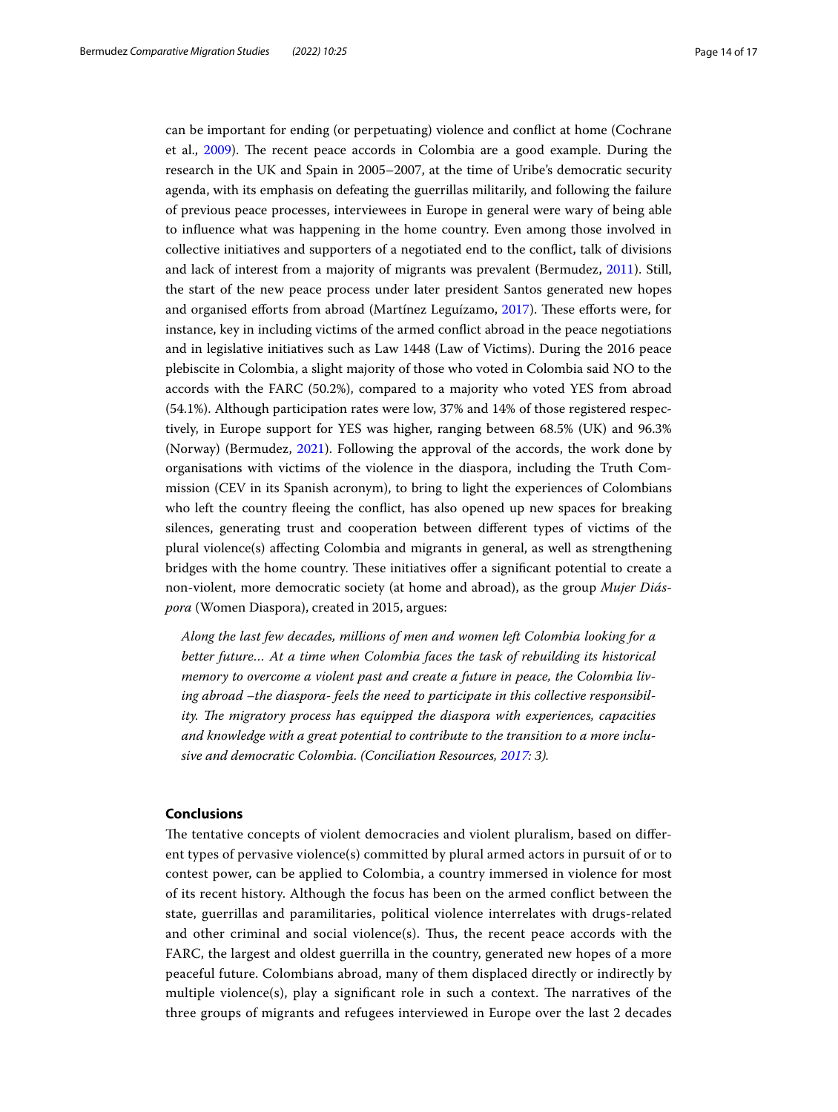can be important for ending (or perpetuating) violence and confict at home (Cochrane et al., [2009\)](#page-16-26). The recent peace accords in Colombia are a good example. During the research in the UK and Spain in 2005–2007, at the time of Uribe's democratic security agenda, with its emphasis on defeating the guerrillas militarily, and following the failure of previous peace processes, interviewees in Europe in general were wary of being able to infuence what was happening in the home country. Even among those involved in collective initiatives and supporters of a negotiated end to the confict, talk of divisions and lack of interest from a majority of migrants was prevalent (Bermudez, [2011\)](#page-15-14). Still, the start of the new peace process under later president Santos generated new hopes and organised efforts from abroad (Martínez Leguízamo, [2017\)](#page-16-27). These efforts were, for instance, key in including victims of the armed confict abroad in the peace negotiations and in legislative initiatives such as Law 1448 (Law of Victims). During the 2016 peace plebiscite in Colombia, a slight majority of those who voted in Colombia said NO to the accords with the FARC (50.2%), compared to a majority who voted YES from abroad (54.1%). Although participation rates were low, 37% and 14% of those registered respectively, in Europe support for YES was higher, ranging between 68.5% (UK) and 96.3% (Norway) (Bermudez, [2021\)](#page-15-1). Following the approval of the accords, the work done by organisations with victims of the violence in the diaspora, including the Truth Commission (CEV in its Spanish acronym), to bring to light the experiences of Colombians who left the country feeing the confict, has also opened up new spaces for breaking silences, generating trust and cooperation between diferent types of victims of the plural violence(s) afecting Colombia and migrants in general, as well as strengthening bridges with the home country. These initiatives offer a significant potential to create a non-violent, more democratic society (at home and abroad), as the group *Mujer Diáspora* (Women Diaspora), created in 2015, argues:

*Along the last few decades, millions of men and women left Colombia looking for a better future… At a time when Colombia faces the task of rebuilding its historical memory to overcome a violent past and create a future in peace, the Colombia living abroad –the diaspora- feels the need to participate in this collective responsibility. The migratory process has equipped the diaspora with experiences, capacities and knowledge with a great potential to contribute to the transition to a more inclusive and democratic Colombia. (Conciliation Resources, [2017:](#page-16-28) 3).*

## **Conclusions**

The tentative concepts of violent democracies and violent pluralism, based on different types of pervasive violence(s) committed by plural armed actors in pursuit of or to contest power, can be applied to Colombia, a country immersed in violence for most of its recent history. Although the focus has been on the armed confict between the state, guerrillas and paramilitaries, political violence interrelates with drugs-related and other criminal and social violence(s). Thus, the recent peace accords with the FARC, the largest and oldest guerrilla in the country, generated new hopes of a more peaceful future. Colombians abroad, many of them displaced directly or indirectly by multiple violence(s), play a significant role in such a context. The narratives of the three groups of migrants and refugees interviewed in Europe over the last 2 decades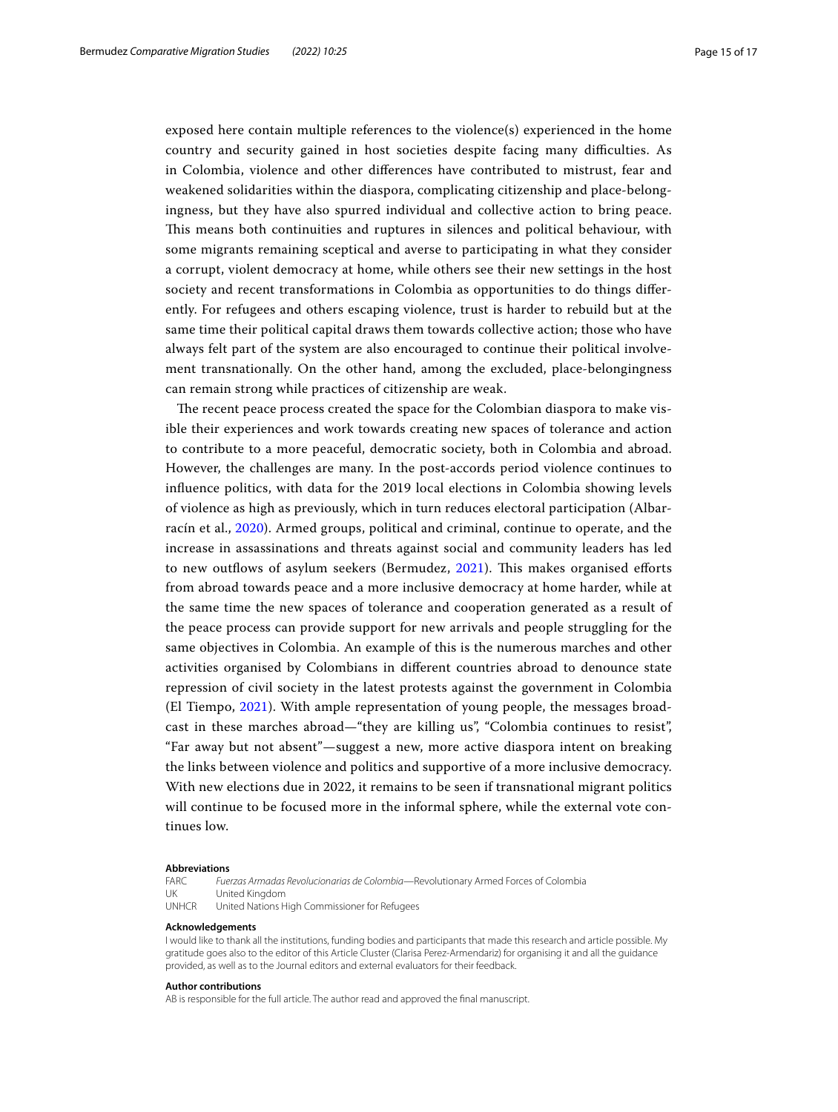exposed here contain multiple references to the violence(s) experienced in the home country and security gained in host societies despite facing many difficulties. As in Colombia, violence and other diferences have contributed to mistrust, fear and weakened solidarities within the diaspora, complicating citizenship and place-belongingness, but they have also spurred individual and collective action to bring peace. Tis means both continuities and ruptures in silences and political behaviour, with some migrants remaining sceptical and averse to participating in what they consider a corrupt, violent democracy at home, while others see their new settings in the host society and recent transformations in Colombia as opportunities to do things diferently. For refugees and others escaping violence, trust is harder to rebuild but at the same time their political capital draws them towards collective action; those who have always felt part of the system are also encouraged to continue their political involvement transnationally. On the other hand, among the excluded, place-belongingness can remain strong while practices of citizenship are weak.

The recent peace process created the space for the Colombian diaspora to make visible their experiences and work towards creating new spaces of tolerance and action to contribute to a more peaceful, democratic society, both in Colombia and abroad. However, the challenges are many. In the post-accords period violence continues to infuence politics, with data for the 2019 local elections in Colombia showing levels of violence as high as previously, which in turn reduces electoral participation (Albarracín et al., [2020](#page-15-15)). Armed groups, political and criminal, continue to operate, and the increase in assassinations and threats against social and community leaders has led to new outflows of asylum seekers (Bermudez, [2021](#page-15-1)). This makes organised efforts from abroad towards peace and a more inclusive democracy at home harder, while at the same time the new spaces of tolerance and cooperation generated as a result of the peace process can provide support for new arrivals and people struggling for the same objectives in Colombia. An example of this is the numerous marches and other activities organised by Colombians in diferent countries abroad to denounce state repression of civil society in the latest protests against the government in Colombia (El Tiempo, [2021\)](#page-16-29). With ample representation of young people, the messages broadcast in these marches abroad—"they are killing us", "Colombia continues to resist", "Far away but not absent"—suggest a new, more active diaspora intent on breaking the links between violence and politics and supportive of a more inclusive democracy. With new elections due in 2022, it remains to be seen if transnational migrant politics will continue to be focused more in the informal sphere, while the external vote continues low.

#### **Abbreviations**

FARC *Fuerzas Armadas Revolucionarias de Colombia*—Revolutionary Armed Forces of Colombia

#### UK United Kingdom

UNHCR United Nations High Commissioner for Refugees

### **Acknowledgements**

I would like to thank all the institutions, funding bodies and participants that made this research and article possible. My gratitude goes also to the editor of this Article Cluster (Clarisa Perez-Armendariz) for organising it and all the guidance provided, as well as to the Journal editors and external evaluators for their feedback.

### **Author contributions**

AB is responsible for the full article. The author read and approved the fnal manuscript.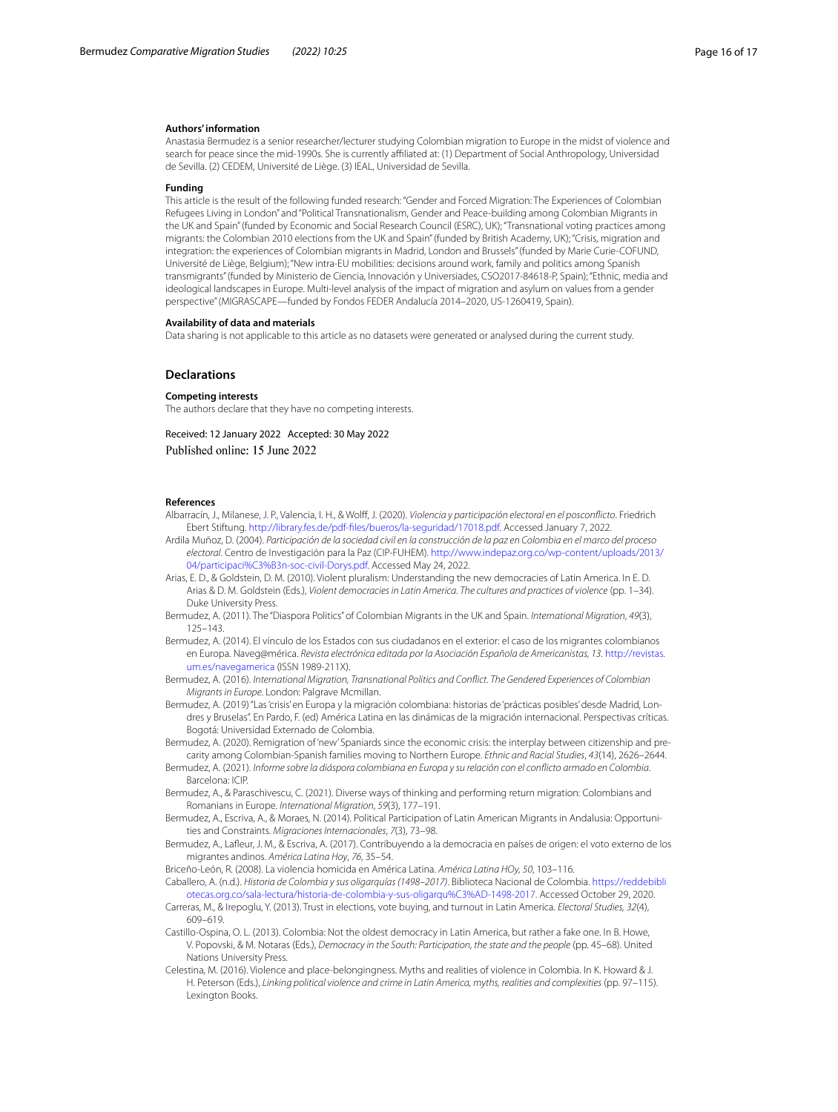### **Authors' information**

Anastasia Bermudez is a senior researcher/lecturer studying Colombian migration to Europe in the midst of violence and search for peace since the mid-1990s. She is currently afliated at: (1) Department of Social Anthropology, Universidad de Sevilla. (2) CEDEM, Université de Liège. (3) IEAL, Universidad de Sevilla.

#### **Funding**

This article is the result of the following funded research: "Gender and Forced Migration: The Experiences of Colombian Refugees Living in London" and "Political Transnationalism, Gender and Peace-building among Colombian Migrants in the UK and Spain" (funded by Economic and Social Research Council (ESRC), UK); "Transnational voting practices among migrants: the Colombian 2010 elections from the UK and Spain" (funded by British Academy, UK); "Crisis, migration and integration: the experiences of Colombian migrants in Madrid, London and Brussels" (funded by Marie Curie-COFUND, Université de Liège, Belgium); "New intra-EU mobilities: decisions around work, family and politics among Spanish transmigrants" (funded by Ministerio de Ciencia, Innovación y Universiades, CSO2017-84618-P, Spain); "Ethnic, media and ideological landscapes in Europe. Multi-level analysis of the impact of migration and asylum on values from a gender perspective" (MIGRASCAPE—funded by Fondos FEDER Andalucía 2014–2020, US-1260419, Spain).

#### **Availability of data and materials**

Data sharing is not applicable to this article as no datasets were generated or analysed during the current study.

## **Declarations**

### **Competing interests**

The authors declare that they have no competing interests.

Received: 12 January 2022 Accepted: 30 May 2022 Published online: 15 June 2022

#### **References**

- <span id="page-15-15"></span>Albarracín, J., Milanese, J. P., Valencia, I. H., & Wolf, J. (2020). *Violencia y participación electoral en el posconficto*. Friedrich Ebert Stiftung. [http://library.fes.de/pdf-fles/bueros/la-seguridad/17018.pdf](http://library.fes.de/pdf-files/bueros/la-seguridad/17018.pdf). Accessed January 7, 2022.
- <span id="page-15-6"></span>Ardila Muñoz, D. (2004). *Participación de la sociedad civil en la construcción de la paz en Colombia en el marco del proceso electoral*. Centro de Investigación para la Paz (CIP-FUHEM). [http://www.indepaz.org.co/wp-content/uploads/2013/](http://www.indepaz.org.co/wp-content/uploads/2013/04/participaci%C3%B3n-soc-civil-Dorys.pdf) [04/participaci%C3%B3n-soc-civil-Dorys.pdf](http://www.indepaz.org.co/wp-content/uploads/2013/04/participaci%C3%B3n-soc-civil-Dorys.pdf). Accessed May 24, 2022.
- <span id="page-15-4"></span>Arias, E. D., & Goldstein, D. M. (2010). Violent pluralism: Understanding the new democracies of Latin America. In E. D. Arias & D. M. Goldstein (Eds.), *Violent democracies in Latin America. The cultures and practices of violence* (pp. 1–34). Duke University Press.
- <span id="page-15-14"></span>Bermudez, A. (2011). The "Diaspora Politics" of Colombian Migrants in the UK and Spain. *International Migration*, *49*(3), 125–143.
- <span id="page-15-13"></span>Bermudez, A. (2014). El vínculo de los Estados con sus ciudadanos en el exterior: el caso de los migrantes colombianos en Europa. Naveg@mérica. *Revista electrónica editada por la Asociación Española de Americanistas, 13*. [http://revistas.](http://revistas.um.es/navegamerica) [um.es/navegamerica](http://revistas.um.es/navegamerica) (ISSN 1989-211X).

<span id="page-15-3"></span>Bermudez, A. (2016). *International Migration, Transnational Politics and Confict. The Gendered Experiences of Colombian Migrants in Europe*. London: Palgrave Mcmillan.

- <span id="page-15-12"></span>Bermudez, A. (2019) "Las 'crisis' en Europa y la migración colombiana: historias de 'prácticas posibles' desde Madrid, Londres y Bruselas". En Pardo, F. (ed) América Latina en las dinámicas de la migración internacional. Perspectivas críticas. Bogotá: Universidad Externado de Colombia.
- <span id="page-15-10"></span>Bermudez, A. (2020). Remigration of 'new' Spaniards since the economic crisis: the interplay between citizenship and precarity among Colombian-Spanish families moving to Northern Europe. *Ethnic and Racial Studies*, *43*(14), 2626–2644.
- <span id="page-15-1"></span>Bermudez, A. (2021). *Informe sobre la diáspora colombiana en Europa y su relación con el conficto armado en Colombia*. Barcelona: ICIP.
- <span id="page-15-11"></span>Bermudez, A., & Paraschivescu, C. (2021). Diverse ways of thinking and performing return migration: Colombians and Romanians in Europe. *International Migration*, *59*(3), 177–191.
- <span id="page-15-9"></span>Bermudez, A., Escriva, A., & Moraes, N. (2014). Political Participation of Latin American Migrants in Andalusia: Opportunities and Constraints. *Migraciones Internacionales*, *7*(3), 73–98.
- <span id="page-15-8"></span>Bermudez, A., Lafeur, J. M., & Escriva, A. (2017). Contribuyendo a la democracia en países de origen: el voto externo de los migrantes andinos. *América Latina Hoy*, *76*, 35–54.

<span id="page-15-5"></span>Briceño-León, R. (2008). La violencia homicida en América Latina. *América Latina HOy, 50*, 103–116.

- Caballero, A. (n.d.). *Historia de Colombia y sus oligarquías (1498–2017)*. Biblioteca Nacional de Colombia. [https://reddebibli](https://reddebibliotecas.org.co/sala-lectura/historia-de-colombia-y-sus-oligarqu%C3%AD-1498-2017) [otecas.org.co/sala-lectura/historia-de-colombia-y-sus-oligarqu%C3%AD-1498-2017.](https://reddebibliotecas.org.co/sala-lectura/historia-de-colombia-y-sus-oligarqu%C3%AD-1498-2017) Accessed October 29, 2020.
- <span id="page-15-7"></span>Carreras, M., & Irepoglu, Y. (2013). Trust in elections, vote buying, and turnout in Latin America. *Electoral Studies, 32*(4), 609–619.
- <span id="page-15-0"></span>Castillo-Ospina, O. L. (2013). Colombia: Not the oldest democracy in Latin America, but rather a fake one. In B. Howe, V. Popovski, & M. Notaras (Eds.), *Democracy in the South: Participation, the state and the people* (pp. 45–68). United Nations University Press.
- <span id="page-15-2"></span>Celestina, M. (2016). Violence and place-belongingness. Myths and realities of violence in Colombia. In K. Howard & J. H. Peterson (Eds.), *Linking political violence and crime in Latin America, myths, realities and complexities* (pp. 97–115). Lexington Books.